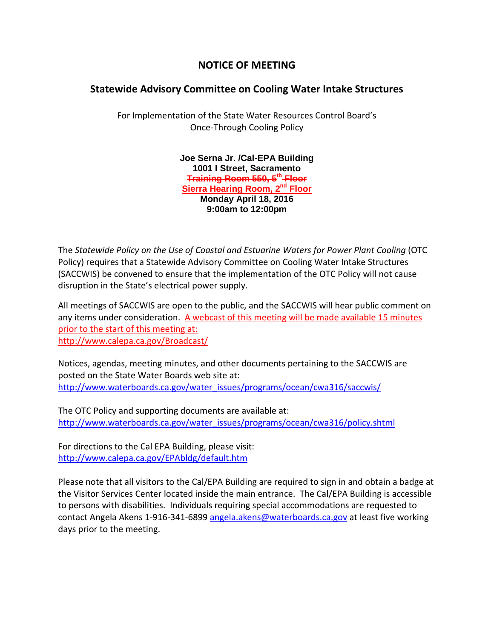## **NOTICE OF MEETING**

## **Statewide Advisory Committee on Cooling Water Intake Structures**

For Implementation of the State Water Resources Control Board's Once-Through Cooling Policy

> **Joe Serna Jr. /Cal-EPA Building 1001 I Street, Sacramento Training Room 550, 5th Floor Sierra Hearing Room, 2nd Floor Monday April 18, 2016 9:00am to 12:00pm**

The *Statewide Policy on the Use of Coastal and Estuarine Waters for Power Plant Cooling* (OTC Policy) requires that a Statewide Advisory Committee on Cooling Water Intake Structures (SACCWIS) be convened to ensure that the implementation of the OTC Policy will not cause disruption in the State's electrical power supply.

All meetings of SACCWIS are open to the public, and the SACCWIS will hear public comment on any items under consideration. A webcast of this meeting will be made available 15 minutes prior to the start of this meeting at: <http://www.calepa.ca.gov/Broadcast/>

Notices, agendas, meeting minutes, and other documents pertaining to the SACCWIS are posted on the State Water Boards web site at: [http://www.waterboards.ca.gov/water\\_issues/programs/ocean/cwa316/saccwis/](http://www.waterboards.ca.gov/water_issues/programs/ocean/cwa316/saccwis/)

The OTC Policy and supporting documents are available at: [http://www.waterboards.ca.gov/water\\_issues/programs/ocean/cwa316/policy.shtml](http://www.waterboards.ca.gov/water_issues/programs/ocean/cwa316/policy.shtml)

For directions to the Cal EPA Building, please visit: <http://www.calepa.ca.gov/EPAbldg/default.htm>

Please note that all visitors to the Cal/EPA Building are required to sign in and obtain a badge at the Visitor Services Center located inside the main entrance. The Cal/EPA Building is accessible to persons with disabilities. Individuals requiring special accommodations are requested to contact Angela Akens 1-916-341-6899 [angela.akens@waterboards.ca.gov](mailto:angela.akens@waterboards.ca.gov) at least five working days prior to the meeting.